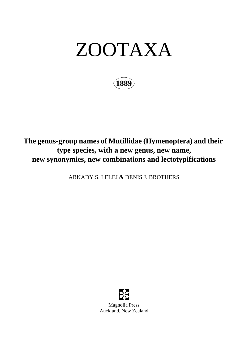# ZOOTAXA

**1889**

# **The genus-group names of Mutillidae (Hymenoptera) and their type species, with a new genus, new name, new synonymies, new combinations and lectotypifications**

ARKADY S. LELEJ & DENIS J. BROTHERS



Magnolia Press Auckland, New Zealand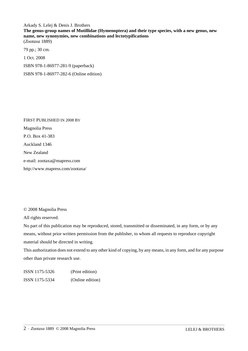Arkady S. Lelej & Denis J. Brothers

**The genus-group names of Mutillidae (Hymenoptera) and their type species, with a new genus, new name, new synonymies, new combinations and lectotypifications** (*Zootaxa* 1889)

79 pp.; 30 cm. 1 Oct. 2008 ISBN 978-1-86977-281-9 (paperback) ISBN 978-1-86977-282-6 (Online edition)

FIRST PUBLISHED IN 2008 BY Magnolia Press P.O. Box 41-383 Auckland 1346 New Zealand e-mail: zootaxa@mapress.com http://www.mapress.com/zootaxa/

© 2008 Magnolia Press

All rights reserved.

No part of this publication may be reproduced, stored, transmitted or disseminated, in any form, or by any means, without prior written permission from the publisher, to whom all requests to reproduce copyright material should be directed in writing.

This authorization does not extend to any other kind of copying, by any means, in any form, and for any purpose other than private research use.

ISSN 1175-5326 (Print edition) ISSN 1175-5334 (Online edition)